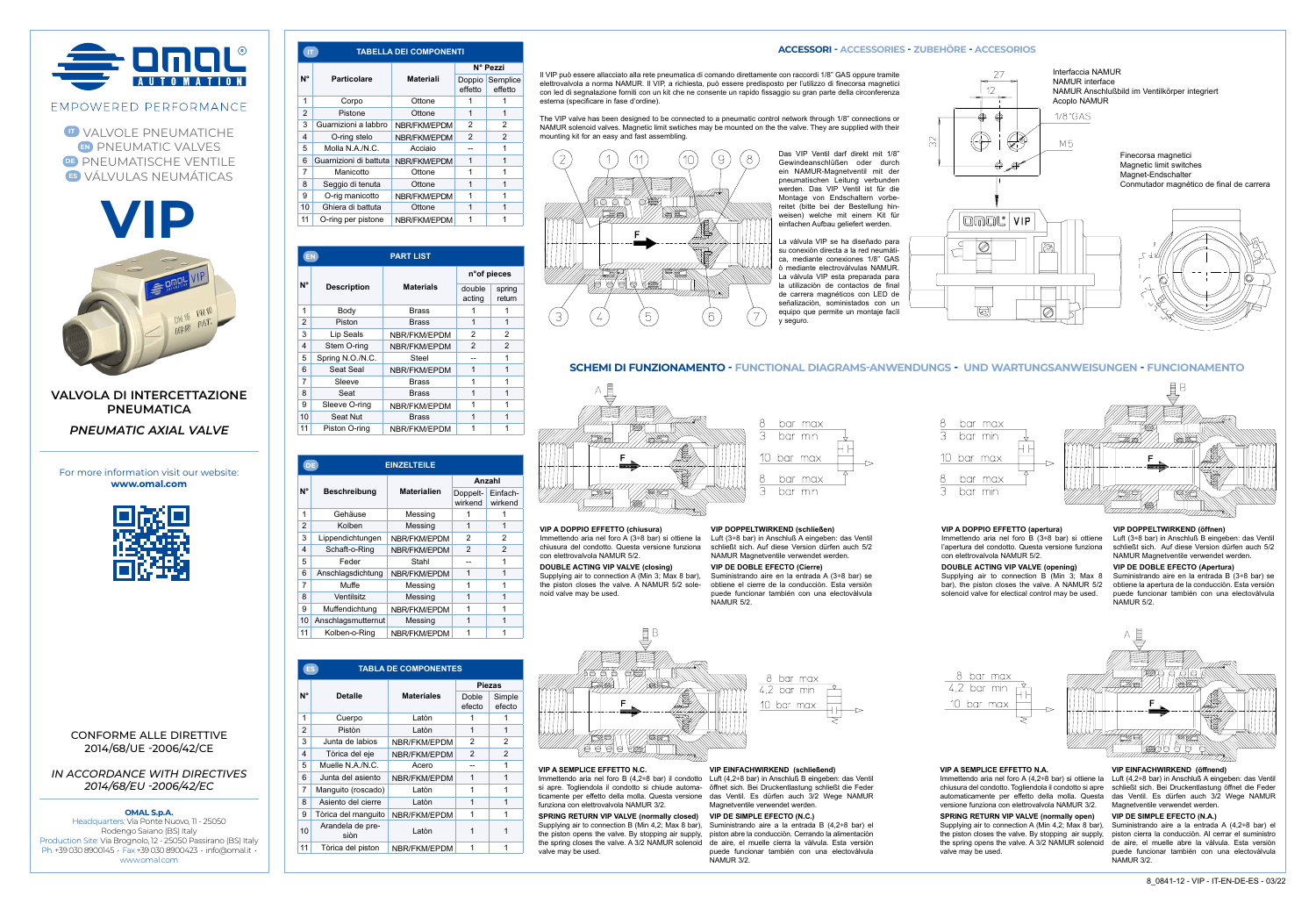

**IT** VALVOLE PNEUMATICHE **EN** PNEUMATIC VALVES **DE PNEUMATISCHE VENTILE ES** VÁLVULAS NEUMÁTICAS





**VALVOLA DI INTERCETTAZIONE PNEUMATICA** *PNEUMATIC AXIAL VALVE*

For more information visit our website: **www.omal.com**



# CONFORME ALLE DIRETTIVE 2014/68/UE -2006/42/CE

*IN ACCORDANCE WITH DIRECTIVES 2014/68/EU -2006/42/EC*

# **OMAL S.p.A.**

Headquarters: Via Ponte Nuovo, 11 - 25050 Rodengo Saiano (BS) Italy Production Site: Via Brognolo, 12 - 25050 Passirano (BS) Italy Ph. +39 030 8900145 • Fax +39 030 8900423 • info@omal.it • www.omal.com

| IT.            |                        | <b>TABELLA DEI COMPONENTI</b> |                   |                     |
|----------------|------------------------|-------------------------------|-------------------|---------------------|
| N°             | Particolare            | <b>Materiali</b>              | N° Pezzi          |                     |
|                |                        |                               | Doppio<br>effetto | Semplice<br>effetto |
| 1              | Corpo                  | Ottone                        |                   |                     |
| $\overline{2}$ | Pistone                | Ottone                        | 1                 | 1                   |
| 3              | Guarnizioni a labbro   | NBR/FKM/EPDM                  | $\overline{2}$    | 2                   |
| 4              | O-ring stelo           | NBR/FKM/EPDM                  | $\overline{2}$    | $\mathfrak{p}$      |
| 5              | Molla N.A./N.C.        | Acciaio                       | --                |                     |
| 6              | Guarnizioni di battuta | NBR/FKM/EPDM                  | 1                 | 1                   |
| 7              | Manicotto              | Ottone                        | 1                 | 1                   |
| 8              | Seggio di tenuta       | Ottone                        | 1                 |                     |
| g              | O-rig manicotto        | NBR/FKM/EPDM                  | 1                 |                     |
| 10             | Ghiera di battuta      | Ottone                        | 1                 |                     |
| 11             | O-ring per pistone     | NBR/FKM/EPDM                  |                   |                     |

|                         | <b>PART LIST</b><br>EN |                  |                  |                  |
|-------------------------|------------------------|------------------|------------------|------------------|
|                         | <b>Description</b>     | <b>Materials</b> | n°of pieces      |                  |
| N°                      |                        |                  | double<br>acting | spring<br>return |
| 1                       | Body                   | <b>Brass</b>     |                  |                  |
| $\overline{2}$          | Piston                 | <b>Brass</b>     | 1                | 1                |
| 3                       | Lip Seals              | NBR/FKM/EPDM     | $\overline{2}$   | 2                |
| $\overline{\mathbf{4}}$ | Stem O-ring            | NBR/FKM/EPDM     | $\overline{2}$   | 2                |
| 5                       | Spring N.O./N.C.       | Steel            |                  | 1                |
| 6                       | Seat Seal              | NBR/FKM/EPDM     | 1                | 1                |
| $\overline{7}$          | Sleeve                 | <b>Brass</b>     | 1                | 1                |
| 8                       | Seat                   | <b>Brass</b>     | 1                | 1                |
| 9                       | Sleeve O-ring          | NBR/FKM/EPDM     | 1                | 1                |
| 10                      | Seat Nut               | <b>Brass</b>     | 1                | 1                |
| 11                      | Piston O-ring          | NBR/FKM/EPDM     | 1                | 1                |

| <b>EINZELTEILE</b><br>DE |                    |                    |                     |                     |
|--------------------------|--------------------|--------------------|---------------------|---------------------|
| N°                       | Beschreibung       | <b>Materialien</b> | Anzahl              |                     |
|                          |                    |                    | Doppelt-<br>wirkend | Einfach-<br>wirkend |
| 1                        | Gehäuse            | Messing            |                     |                     |
| $\overline{2}$           | Kolben             | Messing            | 1                   | 1                   |
| 3                        | Lippendichtungen   | NBR/FKM/EPDM       | 2                   | $\overline{2}$      |
| 4                        | Schaft-o-Ring      | NBR/FKM/EPDM       | 2                   | $\overline{2}$      |
| 5                        | Feder              | Stahl              |                     | 1                   |
| 6                        | Anschlagsdichtung  | NBR/FKM/EPDM       | 1                   | 1                   |
| $\overline{7}$           | Muffe              | Messing            |                     | 1                   |
| 8                        | Ventilsitz         | Messing            | 1                   | 1                   |
| 9                        | Muffendichtung     | NBR/FKM/EPDM       |                     | 1                   |
| 10                       | Anschlagsmutternut | Messing            | 1                   | 1                   |
| 11                       | Kolben-o-Ring      | NBR/FKM/EPDM       |                     |                     |

| <b>TABLA DE COMPONENTES</b><br>ES. |                          |                   |                 |                  |
|------------------------------------|--------------------------|-------------------|-----------------|------------------|
| $N^{\circ}$                        | <b>Detalle</b>           | <b>Materiales</b> | <b>Piezas</b>   |                  |
|                                    |                          |                   | Doble<br>efecto | Simple<br>efecto |
| 1                                  | Cuerpo                   | Laton             |                 |                  |
| $\overline{2}$                     | Pistòn                   | Laton             | 1               | 1                |
| 3                                  | Junta de labios          | NBR/FKM/EPDM      | 2               | 2                |
| $\overline{\mathbf{4}}$            | Tòrica del eje           | NBR/FKM/EPDM      | $\mathfrak{p}$  | $\overline{c}$   |
| 5                                  | Muelle N.A./N.C.         | Acero             |                 | 1                |
| 6                                  | Junta del asiento        | NBR/FKM/EPDM      | 1               | 1                |
| 7                                  | Manguito (roscado)       | Laton             | 1               |                  |
| 8                                  | Asiento del cierre       | Laton             | 1               | 1                |
| 9                                  | Tòrica del manquito      | NBR/FKM/EPDM      | 1               | 1                |
| 10                                 | Arandela de pre-<br>siòn | Laton             |                 |                  |
| 11                                 | Tòrica del piston        | NBR/FKM/EPDM      |                 | 1                |

# **ACCESSORI - ACCESSORIES - ZUBEHÖRE - ACCESORIOS**

Il VIP può essere allacciato alla rete pneumatica di comando direttamente con raccordi 1/8" GAS oppure tramite elettrovalvola a norma NAMUR. Il VIP, a richiesta, può essere predisposto per l'utilizzo di finecorsa magnetici con led di segnalazione forniti con un kit che ne consente un rapido fissaggio su gran parte della circonferenza esterna (specificare in fase d'ordine).

The VIP valve has been designed to be connected to a pneumatic control network through 1/8" connections or NAMUR solenoid valves. Magnetic limit swtiches may be mounted on the the valve. They are supplied with their mounting kit for an easy and fast assembling.



Das VIP Ventil darf direkt mit 1/8" Gewindeanschlüßen oder durch ein NAMUR-Magnetventil mit der pneumatischen Leitung verbunden werden. Das VIP Ventil ist für die Montage von Endschaltern vorbereitet (bitte bei der Bestellung hinweisen) welche mit einem Kit für einfachen Aufbau geliefert werden.

La vàlvula VIP se ha diseñado para su conexiòn directa a la red neumàtica, mediante conexiones 1/8" GAS ò mediante electrovàlvulas NAMUR. La vàlvula VIP esta preparada para la utilizaciòn de contactos de final de carrera magnéticos con LED de señalizaciòn, soministados con un equipo que permite un montaje facìl y seguro.



VIP

omac

囘





# **SCHEMI DI FUNZIONAMENTO - FUNCTIONAL DIAGRAMS-ANWENDUNGS - UND WARTUNGSANWEISUNGEN - FUNCIONAMENTO**



**VIP A DOPPIO EFFETTO (chiusura)** Luft (3÷8 bar) in Anschluß A eingeben: das Ventil

chiusura del condotto. Questa versione funziona schließt sich. Auf diese Version dürfen auch 5/2 con elettrovalvola NAMUR 5/2.

**DOUBLE ACTING VIP VALVE (closing)** Supplying air to connection A (Min 3; Max 8 bar), the piston closes the valve. A NAMUR 5/2 solenoid valve may be used. NAMUR 5/2.



**VIP DOPPELTWIRKEND (schließen)**

Immettendo aria nel foro A (3÷8 bar) si ottiene la NAMUR Magnetventile verwendet werden.

≣Β

**VIP DE DOBLE EFECTO (Cierre)** Suministrando aire en la entrada A (3÷8 bar) se

bar max  $\overline{3}$ bar min 10 bar max -8 bar max  $\overline{3}$ bar min

# **VIP A DOPPIO EFFETTO (apertura)**

Immettendo aria nel foro B (3÷8 bar) si ottiene l'apertura del condotto. Questa versione funziona con elettrovalvola NAMUR 5/2.

# **VIP DOPPELTWIRKEND (öffnen)**

Luft (3+8 bar) in Anschluß B eingeben: das Ventil schließt sich. Auf diese Version dürfen auch 5/2 NAMUR Magnetventile verwendet werden.

# **VIP DE DOBLE EFECTO (Apertura)**

**DOUBLE ACTING VIP VALVE (opening)** Supplying air to connection B (Min 3; Max 8 Suministrando aire en la entrada B (3÷8 bar) se obtiene la apertura de la conducciòn. Esta versiòn puede funcionar también con una electovàlvula .<br>NAMUR 5/2.



**VIP EINFACHWIRKEND (schließend)**

Magnetventile verwendet werden.

Immettendo aria nel foro B (4,2÷8 bar) il condotto Luft (4,2÷8 bar) in Anschluß B eingeben: das Ventil si apre. Togliendola il condotto si chiude automa-öffnet sich. Bei Druckentlastung schließt die Feder ticamente per effetto della molla. Questa versione das Ventil. Es dürfen auch 3/2 Wege NAMUR funziona con elettrovalvola NAMUR 3/2.

**VIP A SEMPLICE EFFETTO N.C.**

**SPRING RETURN VIP VALVE (normally closed)** Supplying air to connection B (Min 4,2; Max 8 bar), Suministrando aire a la entrada B (4,2÷8 bar) el the piston opens the valve. By stopping air supply, piston abre la conducciòn. Cerrando la alimentaciòn the spring closes the valve. A 3/2 NAMUR solenoid de aire, el muelle cierra la vàlvula. Esta versiòn valve may be used. **VIP DE SIMPLE EFECTO (N.C.)** puede funcionar también con una electovàlvula NAMUR 3/2

8 bar max  $4.2$  bar min 10 bar max



**VIP A SEMPLICE EFFETTO N.A.** Immettendo aria nel foro A (4,2÷8 bar) si ottiene la Luft (4,2÷8 bar) in Anschluß A eingeben: das Ventil versione funziona con elettrovalvola NAMUR 3/2.

**SPRING RETURN VIP VALVE (normally open)** Supplying air to connection A (Min 4,2; Max 8 bar), Suministrando aire a la entrada A (4,2÷8 bar) el the piston closes the valve. By stopping air supply, piston cierra la conducciòn. Al cerrar el suministro the spring opens the valve. A 3/2 NAMUR solenoid valve may be used.

# аны өтөт

**VIP EINFACHWIRKEND (öffnend)**

chiusura del condotto. Togliendola il condotto si apre schließt sich. Bei Druckentlastung öffnet die Feder automaticamente per effetto della molla. Questa das Ventil. Es dürfen auch 3/2 Wege NAMUR Magnetventile verwendet werden.

puede funcionar también con una electovàlvula

**VIP DE SIMPLE EFECTO (N.A.)** de aire, el muelle abre la vàlvula. Esta versiòn

NAMUR 3/2.